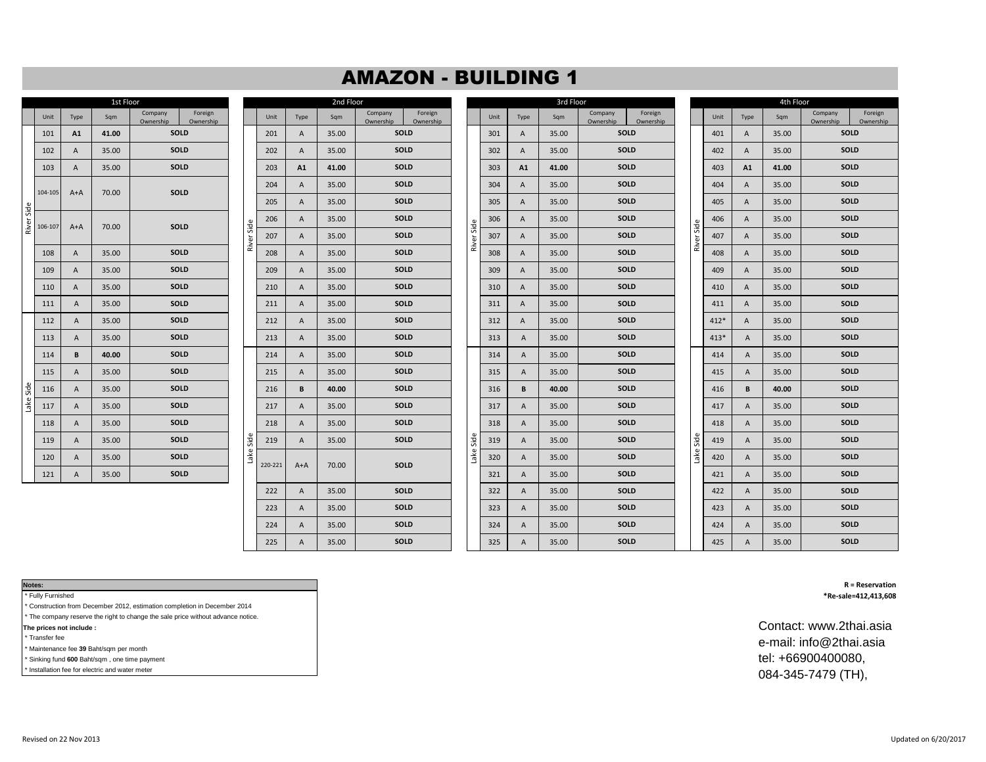## AMAZON - BUILDING 1

|            | 1st Floor |                |       |                      |                      |  |  |  |  |  |  |  |  |  |
|------------|-----------|----------------|-------|----------------------|----------------------|--|--|--|--|--|--|--|--|--|
|            | Unit      | Type           | Sqm   | Company<br>Ownership | Foreign<br>Ownership |  |  |  |  |  |  |  |  |  |
|            | 101       | A1             | 41.00 | SOLD                 |                      |  |  |  |  |  |  |  |  |  |
|            | 102       | A              | 35.00 |                      | <b>SOLD</b>          |  |  |  |  |  |  |  |  |  |
|            | 103       | A              | 35.00 | <b>SOLD</b>          |                      |  |  |  |  |  |  |  |  |  |
|            | 104-105   | $A+A$          | 70.00 | <b>SOLD</b>          |                      |  |  |  |  |  |  |  |  |  |
| River Side | 106-107   | $A+A$          | 70.00 |                      | SOLD                 |  |  |  |  |  |  |  |  |  |
|            | 108       | A              | 35.00 |                      | <b>SOLD</b>          |  |  |  |  |  |  |  |  |  |
|            | 109       | $\overline{A}$ | 35.00 |                      | SOLD                 |  |  |  |  |  |  |  |  |  |
|            | 110       | A              | 35.00 |                      | <b>SOLD</b>          |  |  |  |  |  |  |  |  |  |
|            | 111       | A              | 35.00 |                      | <b>SOLD</b>          |  |  |  |  |  |  |  |  |  |
|            | 112       | $\overline{A}$ | 35.00 | <b>SOLD</b>          |                      |  |  |  |  |  |  |  |  |  |
|            | 113       | A              | 35.00 | <b>SOLD</b>          |                      |  |  |  |  |  |  |  |  |  |
|            | 114       | B              | 40.00 | <b>SOLD</b>          |                      |  |  |  |  |  |  |  |  |  |
|            | 115       | A              | 35.00 |                      | <b>SOLD</b>          |  |  |  |  |  |  |  |  |  |
| Lake Side  | 116       | A              | 35.00 |                      | <b>SOLD</b>          |  |  |  |  |  |  |  |  |  |
|            | 117       | A              | 35.00 |                      | SOLD                 |  |  |  |  |  |  |  |  |  |
|            | 118       | A              | 35.00 |                      | <b>SOLD</b>          |  |  |  |  |  |  |  |  |  |
|            | 119       | $\overline{A}$ | 35.00 |                      | <b>SOLD</b>          |  |  |  |  |  |  |  |  |  |
|            | 120       | $\overline{A}$ | 35.00 |                      | SOLD                 |  |  |  |  |  |  |  |  |  |
|            | 121       | A              | 35.00 | <b>SOLD</b>          |                      |  |  |  |  |  |  |  |  |  |

|                      |            |         |                | 2nd Floor |                      |                      |            |      |                | 3rd Floor |                      |  |
|----------------------|------------|---------|----------------|-----------|----------------------|----------------------|------------|------|----------------|-----------|----------------------|--|
| Foreign<br>Ownership |            | Unit    | Type           | Sqm       | Company<br>Ownership | Foreign<br>Ownership |            | Unit | Type           | Sqm       | Company<br>Ownership |  |
| SOLD                 |            | 201     | Α              | 35.00     |                      | SOLD                 |            | 301  | A              | 35.00     | SOLD                 |  |
| SOLD                 |            | 202     | Α              | 35.00     |                      | <b>SOLD</b>          |            | 302  | A              | 35.00     | SOLD                 |  |
| SOLD                 |            | 203     | A1             | 41.00     | SOLD                 |                      |            | 303  | A1             | 41.00     | SOLD                 |  |
|                      |            | 204     | Α              | 35.00     |                      | SOLD                 |            | 304  | Α              | 35.00     | SOLD                 |  |
| SOLD                 |            | 205     | Α              | 35.00     |                      | <b>SOLD</b>          |            | 305  | A              | 35.00     | SOLD                 |  |
| SOLD                 |            | 206     | Α              | 35.00     |                      | SOLD                 |            | 306  | A              | 35.00     | SOLD                 |  |
|                      | River Side | 207     | Α              | 35.00     |                      | SOLD                 | River Side | 307  | Α              | 35.00     | SOLD                 |  |
| SOLD                 |            | 208     | Α              | 35.00     |                      | SOLD                 |            | 308  | Α              | 35.00     | SOLD                 |  |
| SOLD                 |            | 209     | Α              | 35.00     |                      | SOLD                 |            | 309  | A              | 35.00     | SOLD                 |  |
| SOLD                 |            | 210     | Α              | 35.00     |                      | SOLD                 |            | 310  | Α              | 35.00     | SOLD                 |  |
| SOLD                 |            | 211     | Α              | 35.00     |                      | SOLD                 |            | 311  | A              | 35.00     | SOLD                 |  |
| SOLD                 |            | 212     | Α              | 35.00     |                      | SOLD                 |            | 312  | A              | 35.00     | SOLD                 |  |
| SOLD                 |            | 213     | $\overline{A}$ | 35.00     |                      | SOLD                 |            | 313  | $\overline{A}$ | 35.00     | SOLD                 |  |
| SOLD                 |            | 214     | Α              | 35.00     |                      | <b>SOLD</b>          |            | 314  | $\overline{A}$ | 35.00     | SOLD                 |  |
| SOLD                 |            | 215     | Α              | 35.00     |                      | SOLD                 |            | 315  | Α              | 35.00     | SOLD                 |  |
| SOLD                 |            | 216     | В              | 40.00     |                      | SOLD                 |            | 316  | В              | 40.00     | SOLD                 |  |
| SOLD                 |            | 217     | Α              | 35.00     |                      | SOLD                 |            | 317  | Α              | 35.00     | SOLD                 |  |
| SOLD                 |            | 218     | Α              | 35.00     |                      | SOLD                 |            | 318  | Α              | 35.00     | <b>SOLD</b>          |  |
| SOLD                 | Side       | 219     | Α              | 35.00     |                      | SOLD                 | Side       | 319  | Α              | 35.00     | SOLD                 |  |
| SOLD                 | Lake       |         |                |           |                      |                      | Lake       | 320  | Α              | 35.00     | SOLD                 |  |
| SOLD                 |            | 220-221 | $A+A$          | 70.00     |                      | SOLD                 |            | 321  | Α              | 35.00     | SOLD                 |  |
|                      |            | 222     | Α              | 35.00     |                      | SOLD                 |            | 322  | Α              | 35.00     | SOLD                 |  |
|                      |            | 223     | Α              | 35.00     |                      | SOLD                 |            | 323  | Α              | 35.00     | SOLD                 |  |
|                      |            | 224     | $\overline{A}$ | 35.00     |                      | SOLD                 |            | 324  | Α              | 35.00     | SOLD                 |  |
|                      |            | 225     | A              | 35.00     |                      | SOLD                 |            | 325  | $\overline{A}$ | 35.00     | SOLD                 |  |

|        |       | 1st Floor |                                              | 2nd Floor<br>3rd Floor |         |                |       |                      |                      |       |      | 4th Floor    |       |                      |                      |       |        |                |       |                      |  |
|--------|-------|-----------|----------------------------------------------|------------------------|---------|----------------|-------|----------------------|----------------------|-------|------|--------------|-------|----------------------|----------------------|-------|--------|----------------|-------|----------------------|--|
| Unit   | Type  | Sqm       | Foreign<br>Company<br>Ownership<br>Ownership |                        | Unit    | Type           | Sqm   | Company<br>Ownership | Foreign<br>Ownership |       | Unit | Type         | Sqm   | Company<br>Ownership | Foreign<br>Ownership |       | Unit   | Type           | Sqm   | Company<br>Ownership |  |
| 101    | A1    | 41.00     | SOLD                                         |                        | 201     | A              | 35.00 | SOLD                 |                      |       | 301  | A            | 35.00 | SOLD                 |                      |       | 401    | A              | 35.00 | SOLD                 |  |
| 102    | A     | 35.00     | SOLD                                         |                        | 202     | A              | 35.00 | SOLD                 |                      |       | 302  | A            | 35.00 | SOLD                 |                      |       | 402    | A              | 35.00 | SOLD                 |  |
| 103    | A     | 35.00     | SOLD                                         |                        | 203     | A1             | 41.00 | SOLD                 |                      |       | 303  | A1           | 41.00 | SOLD                 |                      |       | 403    | A1             | 41.00 | <b>SOLD</b>          |  |
| 04-105 | $A+A$ | 70.00     | SOLD                                         |                        | 204     | A              | 35.00 | SOLD                 |                      |       | 304  | $\mathsf{A}$ | 35.00 | SOLD                 |                      |       | 404    | A              | 35.00 | <b>SOLD</b>          |  |
|        |       |           |                                              |                        | 205     | $\mathsf{A}$   | 35.00 | SOLD                 |                      |       | 305  | $\mathsf{A}$ | 35.00 | SOLD                 |                      |       | 405    | Α              | 35.00 | SOLD                 |  |
| 06-107 | A+A   | 70.00     | SOLD                                         | Side                   | 206     | $\overline{A}$ | 35.00 | <b>SOLD</b>          |                      | Side  | 306  | A            | 35.00 | SOLD                 |                      | Side  | 406    | Α              | 35.00 | SOLD                 |  |
|        |       |           |                                              | River                  | 207     | A              | 35.00 | SOLD                 |                      | River | 307  | A            | 35.00 | SOLD                 |                      | River | 407    | A              | 35.00 | <b>SOLD</b>          |  |
| 108    | A     | 35.00     | SOLD                                         |                        | 208     | $\mathsf{A}$   | 35.00 | SOLD                 |                      |       | 308  | A            | 35.00 | SOLD                 |                      |       | 408    | Α              | 35.00 | <b>SOLD</b>          |  |
| 109    | A     | 35.00     | SOLD                                         |                        | 209     | $\mathsf{A}$   | 35.00 | SOLD                 |                      |       | 309  | A            | 35.00 | SOLD                 |                      |       | 409    | A              | 35.00 | SOLD                 |  |
| 110    | A     | 35.00     | SOLD                                         |                        | 210     | $\mathsf{A}$   | 35.00 | SOLD                 |                      |       | 310  | A            | 35.00 | SOLD                 |                      |       | 410    | $\mathsf{A}$   | 35.00 | SOLD                 |  |
| 111    | Α     | 35.00     | SOLD                                         |                        | 211     | $\overline{A}$ | 35.00 | SOLD                 |                      |       | 311  | $\mathsf{A}$ | 35.00 | SOLD                 |                      |       | 411    | A              | 35.00 | <b>SOLD</b>          |  |
| 112    | Α     | 35.00     | SOLD                                         |                        | 212     | A              | 35.00 | SOLD                 |                      |       | 312  | $\mathsf{A}$ | 35.00 | SOLD                 |                      |       | 412*   | A              | 35.00 | <b>SOLD</b>          |  |
| 113    | Α     | 35.00     | SOLD                                         |                        | 213     | $\mathsf{A}$   | 35.00 | SOLD                 |                      |       | 313  | A            | 35.00 | SOLD                 |                      |       | $413*$ | A              | 35.00 | SOLD                 |  |
| 114    | B     | 40.00     | SOLD                                         |                        | 214     | $\mathsf{A}$   | 35.00 | SOLD                 |                      |       | 314  | A            | 35.00 | SOLD                 |                      |       | 414    | Α              | 35.00 | SOLD                 |  |
| 115    | A     | 35.00     | SOLD                                         |                        | 215     | $\overline{A}$ | 35.00 | SOLD                 |                      |       | 315  | A            | 35.00 | SOLD                 |                      |       | 415    | $\overline{A}$ | 35.00 | <b>SOLD</b>          |  |
| 116    | A     | 35.00     | SOLD                                         |                        | 216     | B              | 40.00 | SOLD                 |                      |       | 316  | B            | 40.00 | SOLD                 |                      |       | 416    | B              | 40.00 | <b>SOLD</b>          |  |
| 117    | A     | 35.00     | SOLD                                         |                        | 217     | $\mathsf{A}$   | 35.00 | SOLD                 |                      |       | 317  | A            | 35.00 | SOLD                 |                      |       | 417    | Α              | 35.00 | SOLD                 |  |
| 118    | Α     | 35.00     | SOLD                                         |                        | 218     | $\overline{A}$ | 35.00 | SOLD                 |                      |       | 318  | A            | 35.00 | SOLD                 |                      |       | 418    | Α              | 35.00 | SOLD                 |  |
| 119    | Α     | 35.00     | SOLD                                         | Side                   | 219     | $\overline{A}$ | 35.00 | SOLD                 |                      | Side  | 319  | A            | 35.00 | SOLD                 |                      | Side  | 419    | Α              | 35.00 | <b>SOLD</b>          |  |
| 120    | Α     | 35.00     | SOLD                                         | Lake                   | 220-221 | A+A            | 70.00 | <b>SOLD</b>          |                      | Lake  | 320  | A            | 35.00 | SOLD                 |                      | Lake  | 420    | Α              | 35.00 | <b>SOLD</b>          |  |
| 121    | Α     | 35.00     | SOLD                                         |                        |         |                |       |                      |                      |       | 321  | A            | 35.00 | SOLD                 |                      |       | 421    | Α              | 35.00 | SOLD                 |  |
|        |       |           |                                              |                        | 222     | $\mathsf{A}$   | 35.00 | SOLD                 |                      |       | 322  | A            | 35.00 | SOLD                 |                      |       | 422    | Α              | 35.00 | <b>SOLD</b>          |  |
|        |       |           |                                              |                        | 223     | $\overline{A}$ | 35.00 | SOLD                 |                      |       | 323  | A            | 35.00 | SOLD                 |                      |       | 423    | $\overline{A}$ | 35.00 | <b>SOLD</b>          |  |
|        |       |           |                                              |                        | 224     | $\mathsf{A}$   | 35.00 | SOLD                 |                      |       | 324  | A            | 35.00 | SOLD                 |                      |       | 424    | Α              | 35.00 | SOLD                 |  |
|        |       |           |                                              |                        | 225     | $\overline{A}$ | 35.00 | SOLD                 |                      |       | 325  | A            | 35.00 | SOLD                 |                      |       | 425    | A              | 35.00 | SOLD                 |  |

|      |                      |            |        |      | 4th Floor |                      |                      |  |  |  |
|------|----------------------|------------|--------|------|-----------|----------------------|----------------------|--|--|--|
|      | Foreign<br>Ownership |            | Unit   | Type | Sqm       | Company<br>Ownership | Foreign<br>Ownership |  |  |  |
| SOLD |                      |            | 401    | Α    | 35.00     |                      | <b>SOLD</b>          |  |  |  |
| SOLD |                      |            | 402    | Α    | 35.00     | SOLD                 |                      |  |  |  |
|      | SOLD                 |            | 403    | A1   | 41.00     |                      | <b>SOLD</b>          |  |  |  |
| SOLD |                      |            | 404    | Α    | 35.00     |                      | <b>SOLD</b>          |  |  |  |
|      | SOLD                 |            | 405    | A    | 35.00     |                      | <b>SOLD</b>          |  |  |  |
|      | SOLD                 |            | 406    | Α    | 35.00     |                      | <b>SOLD</b>          |  |  |  |
|      | SOLD                 | River Side | 407    | Α    | 35.00     |                      | <b>SOLD</b>          |  |  |  |
|      | SOLD                 |            | 408    | Α    | 35.00     |                      | <b>SOLD</b>          |  |  |  |
| SOLD |                      |            | 409    | Α    | 35.00     |                      | <b>SOLD</b>          |  |  |  |
|      | SOLD                 |            | 410    | A    | 35.00     |                      | <b>SOLD</b>          |  |  |  |
|      | SOLD                 |            | 411    | Α    | 35.00     |                      | <b>SOLD</b>          |  |  |  |
| SOLD |                      |            | 412*   | Α    | 35.00     |                      | <b>SOLD</b>          |  |  |  |
|      | SOLD                 |            | $413*$ | Α    | 35.00     |                      | <b>SOLD</b>          |  |  |  |
|      | SOLD                 |            | 414    | Α    | 35.00     |                      | <b>SOLD</b>          |  |  |  |
|      | SOLD                 |            | 415    | Α    | 35.00     |                      | <b>SOLD</b>          |  |  |  |
|      | SOLD                 |            | 416    | B    | 40.00     |                      | SOLD                 |  |  |  |
|      | SOLD                 |            | 417    | A    | 35.00     |                      | <b>SOLD</b>          |  |  |  |
|      | SOLD                 |            | 418    | A    | 35.00     |                      | <b>SOLD</b>          |  |  |  |
|      | SOLD                 | Lake Side  | 419    | Α    | 35.00     |                      | <b>SOLD</b>          |  |  |  |
|      | SOLD                 |            | 420    | A    | 35.00     |                      | <b>SOLD</b>          |  |  |  |
|      | SOLD                 |            | 421    | Α    | 35.00     |                      | <b>SOLD</b>          |  |  |  |
|      | SOLD                 |            | 422    | A    | 35.00     |                      | <b>SOLD</b>          |  |  |  |
|      | SOLD                 |            | 423    | Α    | 35.00     |                      | SOLD                 |  |  |  |
|      | SOLD                 |            | 424    | A    | 35.00     | <b>SOLD</b>          |                      |  |  |  |
|      | SOLD                 |            | 425    | Α    | 35.00     |                      | <b>SOLD</b>          |  |  |  |
|      |                      |            |        |      |           |                      |                      |  |  |  |

\* Fully Furnished

\* Construction from December 2012, estimation completion in December 2014

\* The company reserve the right to change the sale price without advance notice.

**The prices not include :** 

\* Transfer fee

 \* Maintenance fee **39** Baht/sqm per month \* Sinking fund **600** Baht/sqm , one time payment

\* Installation fee for electric and water meter

**Notes: R = Reservation \*Re-sale=412,413,608**

> Contact: www.2thai.asia e-mail: info@2thai.asia tel: +66900400080, 084-345-7479 (TH),